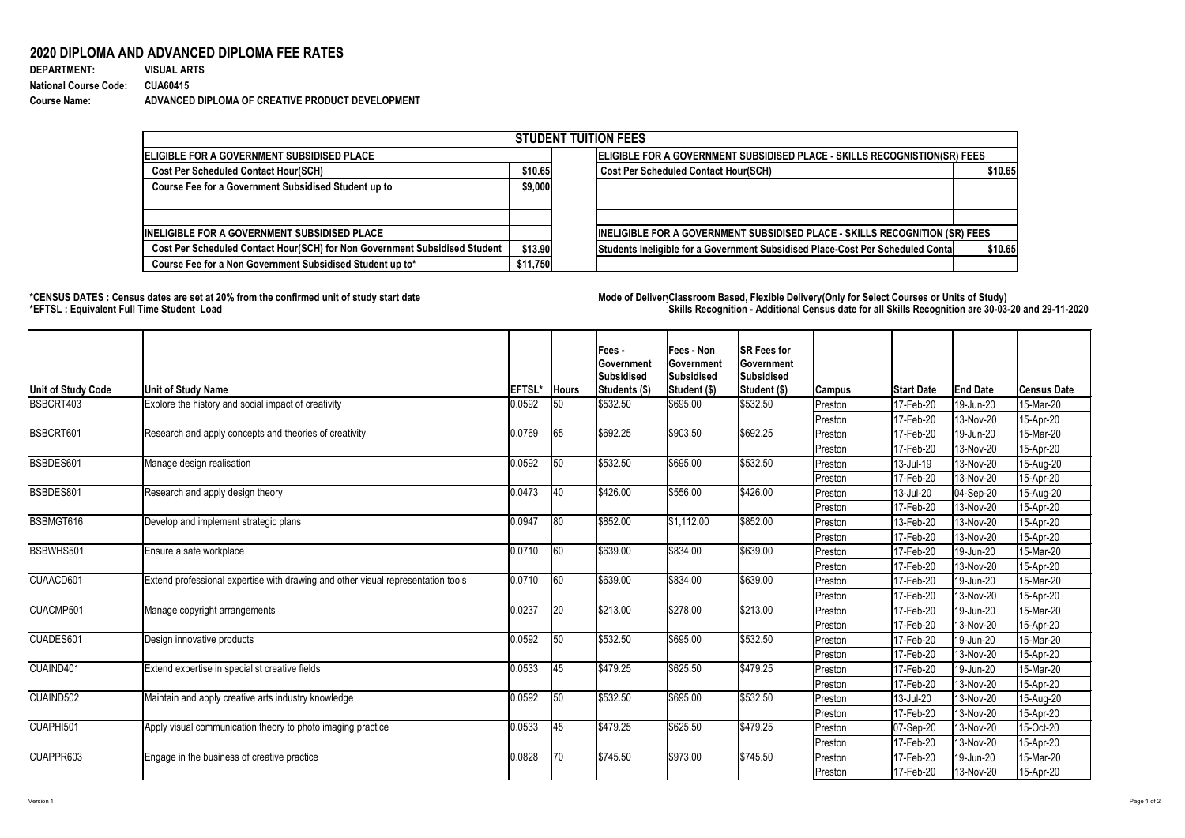## **2020 DIPLOMA AND ADVANCED DIPLOMA FEE RATES**

| <b>DEPARTMENT:</b>           | <b>VISUAL ARTS</b>                               |
|------------------------------|--------------------------------------------------|
| <b>National Course Code:</b> | <b>CUA60415</b>                                  |
| <b>Course Name:</b>          | ADVANCED DIPLOMA OF CREATIVE PRODUCT DEVELOPMENT |

## **\*CENSUS DATES : Census dates are set at 20% from the confirmed unit of study start date Mode of DeliveryClassroom Based, Flexible Delivery(Only for Select Courses or Units of Study) \*EFTSL : Equivalent Full Time Student Load Skills Recognition - Additional Census date for all Skills Recognition are 30-03-20 and 29-11-2020**



| <b>STUDENT TUITION FEES</b>                                                |                                                                           |                                                                                           |  |  |  |  |  |  |
|----------------------------------------------------------------------------|---------------------------------------------------------------------------|-------------------------------------------------------------------------------------------|--|--|--|--|--|--|
| <b>IELIGIBLE FOR A GOVERNMENT SUBSIDISED PLACE</b>                         | ELIGIBLE FOR A GOVERNMENT SUBSIDISED PLACE - SKILLS RECOGNISTION(SR) FEES |                                                                                           |  |  |  |  |  |  |
| <b>Cost Per Scheduled Contact Hour(SCH)</b>                                |                                                                           | <b>Cost Per Scheduled Contact Hour(SCH)</b><br>\$10.65                                    |  |  |  |  |  |  |
| <b>Course Fee for a Government Subsidised Student up to</b>                | \$9,000                                                                   |                                                                                           |  |  |  |  |  |  |
| <b>INELIGIBLE FOR A GOVERNMENT SUBSIDISED PLACE</b>                        |                                                                           | <b>INELIGIBLE FOR A GOVERNMENT SUBSIDISED PLACE - SKILLS RECOGNITION (SR) FEES</b>        |  |  |  |  |  |  |
| Cost Per Scheduled Contact Hour(SCH) for Non Government Subsidised Student | \$13.90                                                                   | Students Ineligible for a Government Subsidised Place-Cost Per Scheduled Conta<br>\$10.65 |  |  |  |  |  |  |
| Course Fee for a Non Government Subsidised Student up to*                  | \$11,750                                                                  |                                                                                           |  |  |  |  |  |  |

| <b>Unit of Study Code</b> | <b>Unit of Study Name</b>                                                        | <b>EFTSL*</b> | <b>Hours</b> | Fees -<br><b>Government</b><br><b>Subsidised</b><br>Students (\$) | <b>Fees - Non</b><br><b>Government</b><br>Subsidised                                                                                                                                                                                                                                                                                                                                                                                                                                                                                                                                                                                                                                                                                                             | <b>SR Fees for</b><br><b>Government</b><br>Subsidised<br><b>Student (\$)</b> |           | <b>Start Date</b>        | <b>End Date</b> | <b>Census Date</b> |
|---------------------------|----------------------------------------------------------------------------------|---------------|--------------|-------------------------------------------------------------------|------------------------------------------------------------------------------------------------------------------------------------------------------------------------------------------------------------------------------------------------------------------------------------------------------------------------------------------------------------------------------------------------------------------------------------------------------------------------------------------------------------------------------------------------------------------------------------------------------------------------------------------------------------------------------------------------------------------------------------------------------------------|------------------------------------------------------------------------------|-----------|--------------------------|-----------------|--------------------|
| BSBCRT403                 | Explore the history and social impact of creativity                              | 0.0592        | 50           | \$532.50                                                          | \$695.00                                                                                                                                                                                                                                                                                                                                                                                                                                                                                                                                                                                                                                                                                                                                                         | \$532.50                                                                     | Preston   | 17-Feb-20                | 19-Jun-20       | 15-Mar-20          |
|                           |                                                                                  |               |              |                                                                   |                                                                                                                                                                                                                                                                                                                                                                                                                                                                                                                                                                                                                                                                                                                                                                  |                                                                              | Preston   | 17-Feb-20                | 13-Nov-20       | 15-Apr-20          |
| BSBCRT601                 | Research and apply concepts and theories of creativity                           | 0.0769        | 65           | \$692.25                                                          | \$903.50                                                                                                                                                                                                                                                                                                                                                                                                                                                                                                                                                                                                                                                                                                                                                         | \$692.25                                                                     | Preston   | 17-Feb-20                | 19-Jun-20       | 15-Mar-20          |
|                           |                                                                                  |               |              |                                                                   |                                                                                                                                                                                                                                                                                                                                                                                                                                                                                                                                                                                                                                                                                                                                                                  |                                                                              | Preston   | 17-Feb-20                | 13-Nov-20       | 15-Apr-20          |
| BSBDES601                 | Manage design realisation                                                        | 0.0592        | 50           | \$532.50                                                          | \$695.00                                                                                                                                                                                                                                                                                                                                                                                                                                                                                                                                                                                                                                                                                                                                                         | \$532.50                                                                     | Preston   | 13-Jul-19                | 13-Nov-20       | 15-Aug-20          |
|                           |                                                                                  |               |              |                                                                   | Student (\$)<br><b>Campus</b><br>17-Feb-20<br>Preston<br>\$556.00<br>\$426.00<br>13-Jul-20<br>Preston<br>17-Feb-20<br>Preston<br> \$1,112.00<br>\$852.00<br>13-Feb-20<br>Preston<br>17-Feb-20<br>Preston<br> \$639.00<br>\$834.00<br>17-Feb-20<br>Preston<br>17-Feb-20<br>Preston<br>\$834.00<br> \$639.00<br>Preston<br>17-Feb-20<br>$ 17 - \text{Feb} - 20 $<br>Preston<br>\$278.00<br>\$213.00<br>Preston<br>17-Feb-20<br>117-Feb-20<br>Preston<br>\$695.00<br>\$532.50<br>Preston<br>17-Feb-20<br>17-Feb-20<br>Preston<br>\$625.50<br>$\frac{1}{2}479.25$<br>17-Feb-20<br>Preston<br>17-Feb-20<br>Preston<br>\$695.00<br>\$532.50<br>13-Jul-20<br>Preston<br>17-Feb-20<br>Preston<br>\$625.50<br>\$479.25<br>$ 07-Sep-20$<br>Preston<br>17-Feb-20<br>Preston | 13-Nov-20                                                                    | 15-Apr-20 |                          |                 |                    |
| BSBDES801                 | Research and apply design theory                                                 | 0.0473        | $ 40\rangle$ | \$426.00                                                          |                                                                                                                                                                                                                                                                                                                                                                                                                                                                                                                                                                                                                                                                                                                                                                  |                                                                              |           |                          | 04-Sep-20       | 15-Aug-20          |
|                           |                                                                                  |               |              |                                                                   |                                                                                                                                                                                                                                                                                                                                                                                                                                                                                                                                                                                                                                                                                                                                                                  |                                                                              |           |                          | 13-Nov-20       | 15-Apr-20          |
| BSBMGT616                 | Develop and implement strategic plans                                            | 0.0947        | $ 80\rangle$ | \$852.00                                                          |                                                                                                                                                                                                                                                                                                                                                                                                                                                                                                                                                                                                                                                                                                                                                                  |                                                                              |           |                          | 13-Nov-20       | 15-Apr-20          |
|                           |                                                                                  |               |              |                                                                   |                                                                                                                                                                                                                                                                                                                                                                                                                                                                                                                                                                                                                                                                                                                                                                  |                                                                              |           |                          | 13-Nov-20       | 15-Apr-20          |
| BSBWHS501                 | Ensure a safe workplace                                                          | 0.0710        | 60           | \$639.00                                                          |                                                                                                                                                                                                                                                                                                                                                                                                                                                                                                                                                                                                                                                                                                                                                                  |                                                                              |           |                          | 19-Jun-20       | 15-Mar-20          |
|                           |                                                                                  |               |              |                                                                   |                                                                                                                                                                                                                                                                                                                                                                                                                                                                                                                                                                                                                                                                                                                                                                  |                                                                              |           |                          | 13-Nov-20       | 15-Apr-20          |
| CUAACD601                 | Extend professional expertise with drawing and other visual representation tools | 0.0710        | 60           | \$639.00                                                          |                                                                                                                                                                                                                                                                                                                                                                                                                                                                                                                                                                                                                                                                                                                                                                  |                                                                              |           |                          | 19-Jun-20       | 15-Mar-20          |
|                           |                                                                                  |               |              |                                                                   |                                                                                                                                                                                                                                                                                                                                                                                                                                                                                                                                                                                                                                                                                                                                                                  |                                                                              |           |                          | 13-Nov-20       | 15-Apr-20          |
| CUACMP501                 | Manage copyright arrangements                                                    | 0.0237        | 20           | \$213.00                                                          |                                                                                                                                                                                                                                                                                                                                                                                                                                                                                                                                                                                                                                                                                                                                                                  |                                                                              |           |                          | 19-Jun-20       | 15-Mar-20          |
|                           |                                                                                  |               |              |                                                                   |                                                                                                                                                                                                                                                                                                                                                                                                                                                                                                                                                                                                                                                                                                                                                                  |                                                                              |           |                          | 13-Nov-20       | 15-Apr-20          |
| CUADES601                 | Design innovative products                                                       | 0.0592        | 50           | \$532.50                                                          |                                                                                                                                                                                                                                                                                                                                                                                                                                                                                                                                                                                                                                                                                                                                                                  |                                                                              |           |                          | 19-Jun-20       | 15-Mar-20          |
|                           |                                                                                  |               |              |                                                                   |                                                                                                                                                                                                                                                                                                                                                                                                                                                                                                                                                                                                                                                                                                                                                                  |                                                                              |           |                          | 13-Nov-20       | 15-Apr-20          |
| CUAIND401                 | Extend expertise in specialist creative fields                                   | 0.0533        | 45           | \$479.25                                                          |                                                                                                                                                                                                                                                                                                                                                                                                                                                                                                                                                                                                                                                                                                                                                                  |                                                                              |           |                          | 19-Jun-20       | 15-Mar-20          |
|                           |                                                                                  |               |              |                                                                   |                                                                                                                                                                                                                                                                                                                                                                                                                                                                                                                                                                                                                                                                                                                                                                  |                                                                              |           |                          | 13-Nov-20       | 15-Apr-20          |
| CUAIND502                 | Maintain and apply creative arts industry knowledge                              | 0.0592        | 50           | \$532.50                                                          |                                                                                                                                                                                                                                                                                                                                                                                                                                                                                                                                                                                                                                                                                                                                                                  |                                                                              |           |                          | 13-Nov-20       | 15-Aug-20          |
|                           |                                                                                  |               |              |                                                                   |                                                                                                                                                                                                                                                                                                                                                                                                                                                                                                                                                                                                                                                                                                                                                                  |                                                                              |           |                          | 13-Nov-20       | 15-Apr-20          |
| CUAPHI501                 | Apply visual communication theory to photo imaging practice                      | 0.0533        | 45           | \$479.25                                                          |                                                                                                                                                                                                                                                                                                                                                                                                                                                                                                                                                                                                                                                                                                                                                                  |                                                                              |           |                          | 13-Nov-20       | 15-Oct-20          |
|                           |                                                                                  |               |              |                                                                   |                                                                                                                                                                                                                                                                                                                                                                                                                                                                                                                                                                                                                                                                                                                                                                  |                                                                              |           |                          | 13-Nov-20       | 15-Apr-20          |
| CUAPPR603                 | Engage in the business of creative practice                                      | 0.0828        | $ 70\rangle$ | \$745.50                                                          | \$973.00                                                                                                                                                                                                                                                                                                                                                                                                                                                                                                                                                                                                                                                                                                                                                         | \$745.50                                                                     | Preston   | 17-Feb-20                | 19-Jun-20       | 15-Mar-20          |
|                           |                                                                                  |               |              |                                                                   |                                                                                                                                                                                                                                                                                                                                                                                                                                                                                                                                                                                                                                                                                                                                                                  |                                                                              | Preston   | $ 17 - \text{Feb} - 20 $ | 13-Nov-20       | 15-Apr-20          |